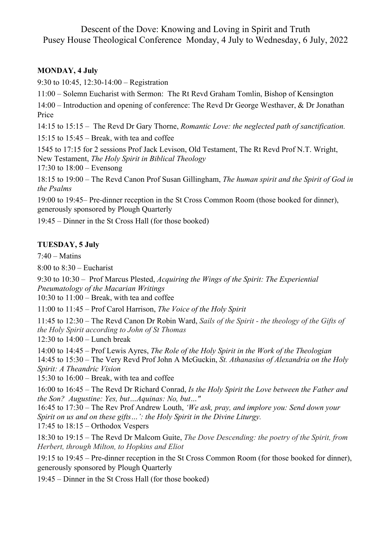Descent of the Dove: Knowing and Loving in Spirit and Truth Pusey House Theological Conference Monday, 4 July to Wednesday, 6 July, 2022

## **MONDAY, 4 July**

9:30 to 10:45, 12:30-14:00 – Registration

11:00 – Solemn Eucharist with Sermon: The Rt Revd Graham Tomlin, Bishop of Kensington

14:00 – Introduction and opening of conference: The Revd Dr George Westhaver, & Dr Jonathan Price

14:15 to 15:15 – The Revd Dr Gary Thorne, *Romantic Love: the neglected path of sanctification.*

15:15 to 15:45 – Break, with tea and coffee

1545 to 17:15 for 2 sessions Prof Jack Levison, Old Testament, The Rt Revd Prof N.T. Wright, New Testament, *The Holy Spirit in Biblical Theology*

17:30 to 18:00 – Evensong

18:15 to 19:00 – The Revd Canon Prof Susan Gillingham, *The human spirit and the Spirit of God in the Psalms*

19:00 to 19:45– Pre-dinner reception in the St Cross Common Room (those booked for dinner), generously sponsored by Plough Quarterly

19:45 – Dinner in the St Cross Hall (for those booked)

## **TUESDAY, 5 July**

 $7:40$  – Matins

8:00 to 8:30 – Eucharist

9:30 to 10:30 – Prof Marcus Plested, *Acquiring the Wings of the Spirit: The Experiential Pneumatology of the Macarian Writings*

10:30 to 11:00 – Break, with tea and coffee

11:00 to 11:45 – Prof Carol Harrison, *The Voice of the Holy Spirit*

11:45 to 12:30 – The Revd Canon Dr Robin Ward, *Sails of the Spirit - the theology of the Gifts of the Holy Spirit according to John of St Thomas*

12:30 to 14:00 – Lunch break

14:00 to 14:45 – Prof Lewis Ayres, *The Role of the Holy Spirit in the Work of the Theologian*

14:45 to 15:30 – The Very Revd Prof John A McGuckin, *St. Athanasius of Alexandria on the Holy Spirit: A Theandric Vision*

15:30 to 16:00 – Break, with tea and coffee

16:00 to 16:45 – The Revd Dr Richard Conrad, *Is the Holy Spirit the Love between the Father and the Son? Augustine: Yes, but…Aquinas: No, but…"*

16:45 to 17:30 – The Rev Prof Andrew Louth, *'We ask, pray, and implore you: Send down your Spirit on us and on these gifts…': the Holy Spirit in the Divine Liturgy.*

17:45 to 18:15 – Orthodox Vespers

18:30 to 19:15 – The Revd Dr Malcom Guite, *The Dove Descending: the poetry of the Spirit, from Herbert, through Milton, to Hopkins and Eliot*

19:15 to 19:45 – Pre-dinner reception in the St Cross Common Room (for those booked for dinner), generously sponsored by Plough Quarterly

19:45 – Dinner in the St Cross Hall (for those booked)